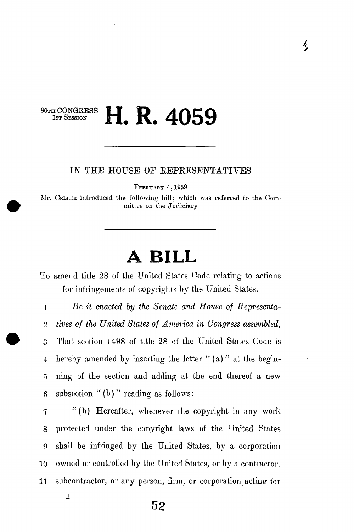### **B CONGRESS II D ANEQ IST SESSION 11. A**.  $\bf{A}$

### **IN THE HOUSE OE KEPKESENTATIVES**

FEBRUARY 4, 1959

Mr. CELLER introduced the following bill; which was referred to the Committee on the Judiciary

# **A BILL**

To amend title 28 of the United States Code relating to actions for infringements of copyrights by the United States.

1 *Be it enacted by the Senate and House of Representa-2 tives of the United States of America in Congress assembled,*  3 That section 1498 of title 28 of the United States Code is 4 hereby amended by inserting the letter " (a) " at the begin-5 ning of the section and adding at the end thereof a new 6 subsection " $(b)$ " reading as follows:

7 "(b) Hereafter, whenever the copyright in any work 8 protected under the copyright laws of the United States 9 shall be infringed by the United States, by a corporation 10 owned or controlled by the United States, or *hy* a contractor. 11 subcontractor, or any person, firm, or corporation acting for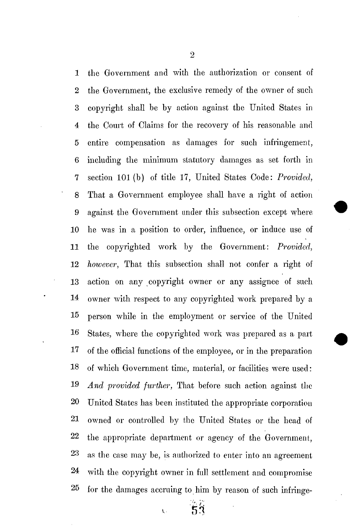1 the Government and with the authorization or consent of 2 the Government, the exclusive remedy of the owner of such 3 copyright shall be by action against the United States in 4 the Court of Claims for the recovery of his reasonable and 5 entire compensation as damages for such infringement, 6 including the minimum statutory damages as set forth in 7 section 101(b) of title 17, United States Code: *Provided,*  8 That a Government employee shall have a right of action 9 against the Government under this subsection except where 10 he was in a position to order, influence, or induce use of 11 the copyrighted work by the Government: *Provided,*  12 *however,* That this subsection shall not confer a right of 13 action on any copyright owner or any assignee of such 14 owner with respect to any copyrighted work prepared by a 15 person while in the employment or service of the United 16 States, where the copyrighted work was prepared as a part 17 of the official functions of the employee, or in the preparation 18 of which Government time, material, or facilities were used: 19 *And provided further,* That before such action against the 20 United States has been instituted the appropriate corporation 21 owned or controlled by the United States or the head of 22 the appropriate department or agency of the Government, 23 as the case may be, is authorized to enter into an agreement 24 with the copyright owner in full settlement and compromise 25 for the damages accruing to him by reason of such infringe-

2

 $52$  $\overline{C}$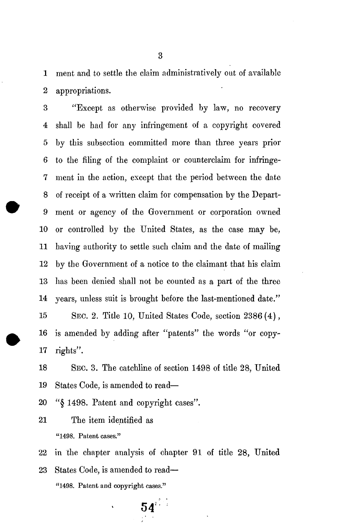1 ment and to settle the claim administratively out of available 2 appropriations.

3 "Except as otherwise provided by law, no recovery 4 shall be had for any infringement of a copyright covered 5 by this subsection committed more than three years prior 6 to the filing of the complaint or counterclaim for infringe-7 ment in the action, except that the period between the date 8 of receipt of a written claim for compensation by the Depart-9 ment or agency of the Government or corporation owned 10 or controlled by the United States, as the case may be, 11 having authority to settle such claim and the date of mailing 12 by the Government of a notice to the claimant that his claim 13 has been denied shall not be counted as a part of the three 14 years, unless suit is brought before the last-mentioned date."

15 SEC. 2. Title 10, United States Code, section 2386 (4), 16 is amended by adding after "patents" the words "or copy-17 rights".

18 SEC. 3. The catchline of section 1498 of title 28, United 19 States Code, is amended to read—

20 "§ 1498. Patent and copyright cases".

21 The item identified as "1498. Patent cases."

22 in the chapter analysis of chapter 91 of title 28, United

23 States Code, is amended to read— "1498. Patent and copyright cases."

**54,:**